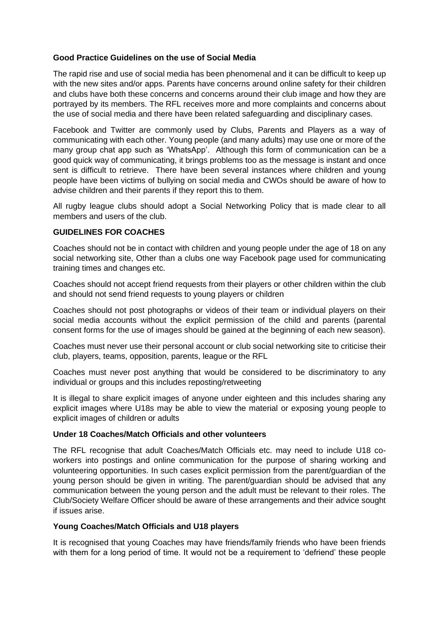## **Good Practice Guidelines on the use of Social Media**

The rapid rise and use of social media has been phenomenal and it can be difficult to keep up with the new sites and/or apps. Parents have concerns around online safety for their children and clubs have both these concerns and concerns around their club image and how they are portrayed by its members. The RFL receives more and more complaints and concerns about the use of social media and there have been related safeguarding and disciplinary cases.

Facebook and Twitter are commonly used by Clubs, Parents and Players as a way of communicating with each other. Young people (and many adults) may use one or more of the many group chat app such as 'WhatsApp'. Although this form of communication can be a good quick way of communicating, it brings problems too as the message is instant and once sent is difficult to retrieve. There have been several instances where children and young people have been victims of bullying on social media and CWOs should be aware of how to advise children and their parents if they report this to them.

All rugby league clubs should adopt a Social Networking Policy that is made clear to all members and users of the club.

## **GUIDELINES FOR COACHES**

Coaches should not be in contact with children and young people under the age of 18 on any social networking site, Other than a clubs one way Facebook page used for communicating training times and changes etc.

Coaches should not accept friend requests from their players or other children within the club and should not send friend requests to young players or children

Coaches should not post photographs or videos of their team or individual players on their social media accounts without the explicit permission of the child and parents (parental consent forms for the use of images should be gained at the beginning of each new season).

Coaches must never use their personal account or club social networking site to criticise their club, players, teams, opposition, parents, league or the RFL

Coaches must never post anything that would be considered to be discriminatory to any individual or groups and this includes reposting/retweeting

It is illegal to share explicit images of anyone under eighteen and this includes sharing any explicit images where U18s may be able to view the material or exposing young people to explicit images of children or adults

### **Under 18 Coaches/Match Officials and other volunteers**

The RFL recognise that adult Coaches/Match Officials etc. may need to include U18 coworkers into postings and online communication for the purpose of sharing working and volunteering opportunities. In such cases explicit permission from the parent/guardian of the young person should be given in writing. The parent/guardian should be advised that any communication between the young person and the adult must be relevant to their roles. The Club/Society Welfare Officer should be aware of these arrangements and their advice sought if issues arise.

# **Young Coaches/Match Officials and U18 players**

It is recognised that young Coaches may have friends/family friends who have been friends with them for a long period of time. It would not be a requirement to 'defriend' these people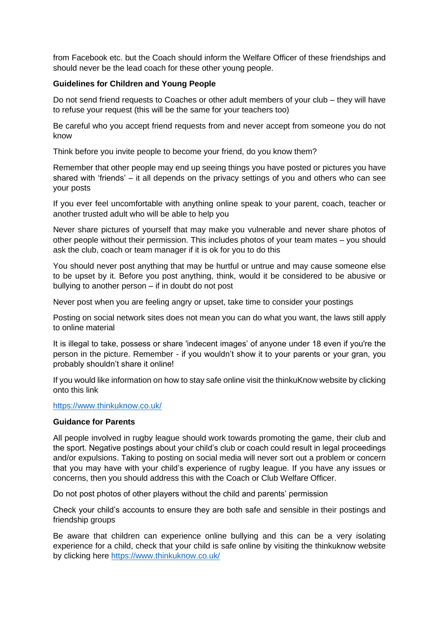from Facebook etc. but the Coach should inform the Welfare Officer of these friendships and should never be the lead coach for these other young people.

# **Guidelines for Children and Young People**

Do not send friend requests to Coaches or other adult members of your club – they will have to refuse your request (this will be the same for your teachers too)

Be careful who you accept friend requests from and never accept from someone you do not know

Think before you invite people to become your friend, do you know them?

Remember that other people may end up seeing things you have posted or pictures you have shared with 'friends' – it all depends on the privacy settings of you and others who can see your posts

If you ever feel uncomfortable with anything online speak to your parent, coach, teacher or another trusted adult who will be able to help you

Never share pictures of yourself that may make you vulnerable and never share photos of other people without their permission. This includes photos of your team mates – you should ask the club, coach or team manager if it is ok for you to do this

You should never post anything that may be hurtful or untrue and may cause someone else to be upset by it. Before you post anything, think, would it be considered to be abusive or bullying to another person – if in doubt do not post

Never post when you are feeling angry or upset, take time to consider your postings

Posting on social network sites does not mean you can do what you want, the laws still apply to online material

It is illegal to take, possess or share 'indecent images' of anyone under 18 even if you're the person in the picture. Remember - if you wouldn't show it to your parents or your gran, you probably shouldn't share it online!

If you would like information on how to stay safe online visit the thinkuKnow website by clicking onto this link

### <https://www.thinkuknow.co.uk/>

### **Guidance for Parents**

All people involved in rugby league should work towards promoting the game, their club and the sport. Negative postings about your child's club or coach could result in legal proceedings and/or expulsions. Taking to posting on social media will never sort out a problem or concern that you may have with your child's experience of rugby league. If you have any issues or concerns, then you should address this with the Coach or Club Welfare Officer.

Do not post photos of other players without the child and parents' permission

Check your child's accounts to ensure they are both safe and sensible in their postings and friendship groups

Be aware that children can experience online bullying and this can be a very isolating experience for a child, check that your child is safe online by visiting the thinkuknow website by clicking here<https://www.thinkuknow.co.uk/>